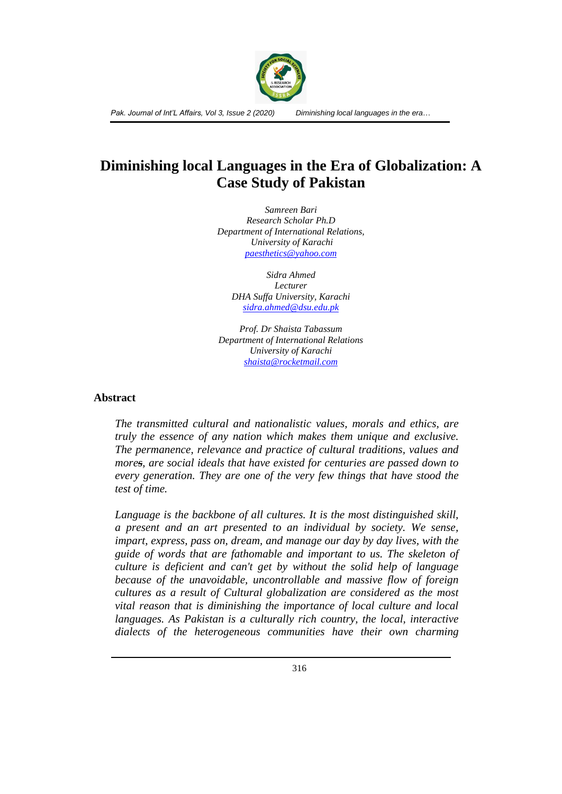

# **Diminishing local Languages in the Era of Globalization: A Case Study of Pakistan**

*Samreen Bari Research Scholar Ph.D Department of International Relations, University of Karachi [paesthetics@yahoo.com](mailto:paesthetics@yahoo.com)*

*Sidra Ahmed Lecturer DHA Suffa University, Karachi [sidra.ahmed@dsu.edu.pk](mailto:sidrasrar@gmail.com)*

*Prof. Dr Shaista Tabassum Department of International Relations University of Karachi [shaista@rocketmail.com](mailto:shaista@rocketmail.com)*

#### **Abstract**

*The transmitted cultural and nationalistic values, morals and ethics, are truly the essence of any nation which makes them unique and exclusive. The permanence, relevance and practice of cultural traditions, values and mores, are social ideals that have existed for centuries are passed down to every generation. They are one of the very few things that have stood the test of time.*

*Language is the backbone of all cultures. It is the most distinguished skill, a present and an art presented to an individual by society. We sense, impart, express, pass on, dream, and manage our day by day lives, with the guide of words that are fathomable and important to us. The skeleton of culture is deficient and can't get by without the solid help of language because of the unavoidable, uncontrollable and massive flow of foreign cultures as a result of Cultural globalization are considered as the most vital reason that is diminishing the importance of local culture and local languages. As Pakistan is a culturally rich country, the local, interactive dialects of the heterogeneous communities have their own charming*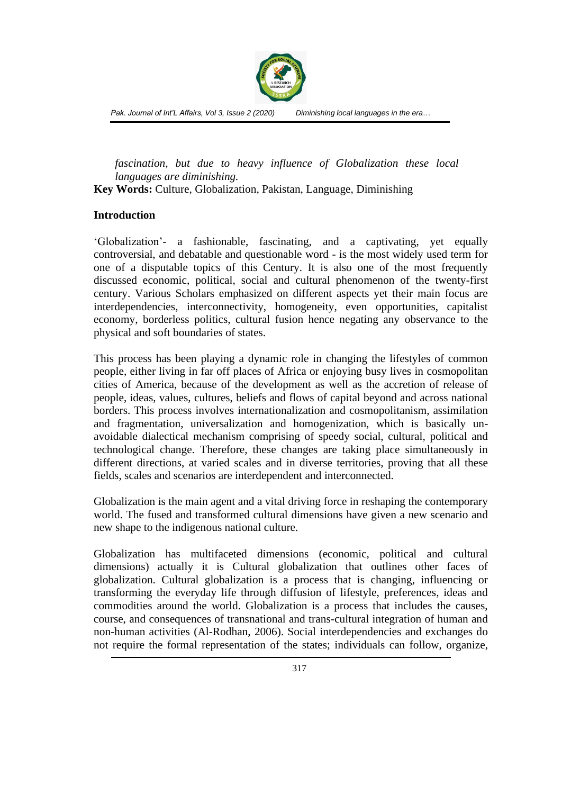

*fascination, but due to heavy influence of Globalization these local languages are diminishing.*

**Key Words:** Culture, Globalization, Pakistan, Language, Diminishing

#### **Introduction**

'Globalization'- a fashionable, fascinating, and a captivating, yet equally controversial, and debatable and questionable word - is the most widely used term for one of a disputable topics of this Century. It is also one of the most frequently discussed economic, political, social and cultural phenomenon of the twenty-first century. Various Scholars emphasized on different aspects yet their main focus are interdependencies, interconnectivity, homogeneity, even opportunities, capitalist economy, borderless politics, cultural fusion hence negating any observance to the physical and soft boundaries of states.

This process has been playing a dynamic role in changing the lifestyles of common people, either living in far off places of Africa or enjoying busy lives in cosmopolitan cities of America, because of the development as well as the accretion of release of people, ideas, values, cultures, beliefs and flows of capital beyond and across national borders. This process involves internationalization and cosmopolitanism, assimilation and fragmentation, universalization and homogenization, which is basically unavoidable dialectical mechanism comprising of speedy social, cultural, political and technological change. Therefore, these changes are taking place simultaneously in different directions, at varied scales and in diverse territories, proving that all these fields, scales and scenarios are interdependent and interconnected.

Globalization is the main agent and a vital driving force in reshaping the contemporary world. The fused and transformed cultural dimensions have given a new scenario and new shape to the indigenous national culture.

Globalization has multifaceted dimensions (economic, political and cultural dimensions) actually it is Cultural globalization that outlines other faces of globalization. Cultural globalization is a process that is changing, influencing or transforming the everyday life through diffusion of lifestyle, preferences, ideas and commodities around the world. Globalization is a process that includes the causes, course, and consequences of transnational and trans-cultural integration of human and non-human activities (Al-Rodhan, 2006). Social interdependencies and exchanges do not require the formal representation of the states; individuals can follow, organize,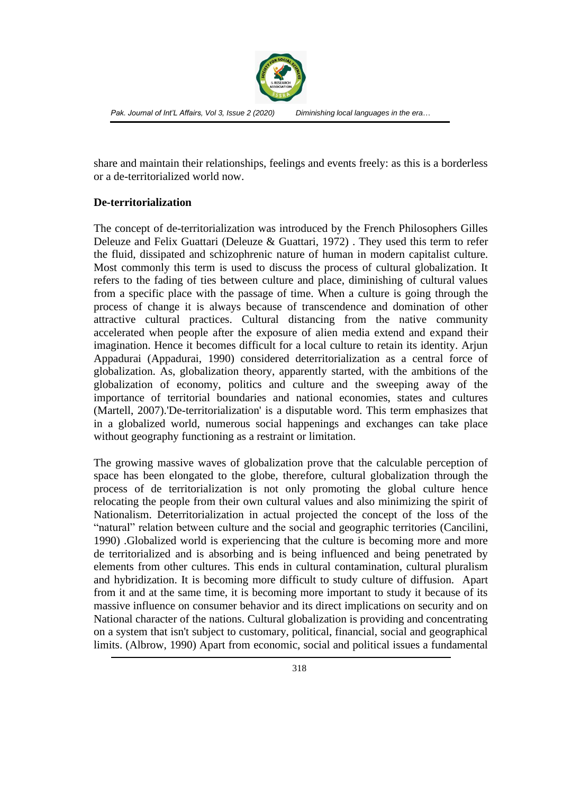

share and maintain their relationships, feelings and events freely: as this is a borderless or a de-territorialized world now.

## **De-territorialization**

The concept of de-territorialization was introduced by the French Philosophers Gilles Deleuze and Felix Guattari (Deleuze & Guattari, 1972) . They used this term to refer the fluid, dissipated and schizophrenic nature of human in modern capitalist culture. Most commonly this term is used to discuss the process of cultural globalization. It refers to the fading of ties between culture and place, diminishing of cultural values from a specific place with the passage of time. When a culture is going through the process of change it is always because of transcendence and domination of other attractive cultural practices. Cultural distancing from the native community accelerated when people after the exposure of alien media extend and expand their imagination. Hence it becomes difficult for a local culture to retain its identity. Arjun Appadurai (Appadurai, 1990) considered deterritorialization as a central force of globalization. As, globalization theory, apparently started, with the ambitions of the globalization of economy, politics and culture and the sweeping away of the importance of territorial boundaries and national economies, states and cultures (Martell, 2007).'De-territorialization' is a disputable word. This term emphasizes that in a globalized world, numerous social happenings and exchanges can take place without geography functioning as a restraint or limitation.

The growing massive waves of globalization prove that the calculable perception of space has been elongated to the globe, therefore, cultural globalization through the process of de territorialization is not only promoting the global culture hence relocating the people from their own cultural values and also minimizing the spirit of Nationalism. Deterritorialization in actual projected the concept of the loss of the "natural" relation between culture and the social and geographic territories (Cancilini, 1990) .Globalized world is experiencing that the culture is becoming more and more de territorialized and is absorbing and is being influenced and being penetrated by elements from other cultures. This ends in cultural contamination, cultural pluralism and hybridization. It is becoming more difficult to study culture of diffusion. Apart from it and at the same time, it is becoming more important to study it because of its massive influence on consumer behavior and its direct implications on security and on National character of the nations. Cultural globalization is providing and concentrating on a system that isn't subject to customary, political, financial, social and geographical limits. (Albrow, 1990) Apart from economic, social and political issues a fundamental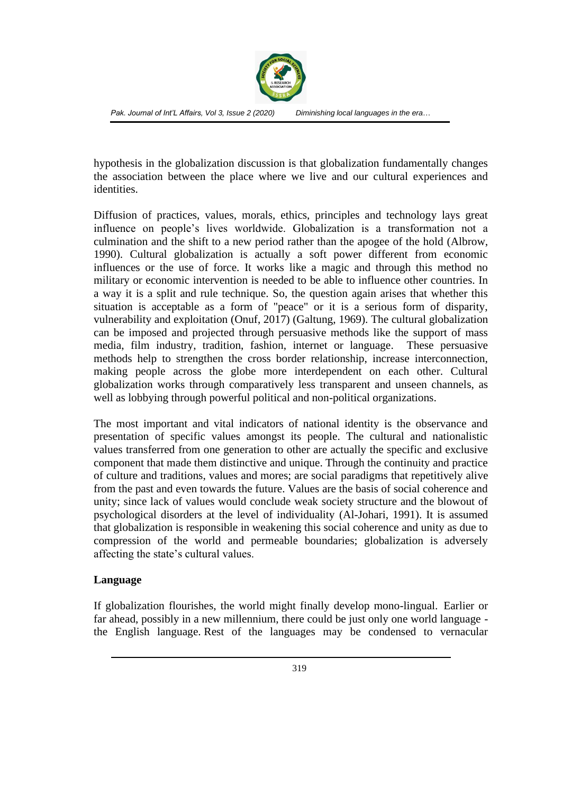

hypothesis in the globalization discussion is that globalization fundamentally changes the association between the place where we live and our cultural experiences and identities.

Diffusion of practices, values, morals, ethics, principles and technology lays great influence on people's lives worldwide. Globalization is a transformation not a culmination and the shift to a new period rather than the apogee of the hold (Albrow, 1990). Cultural globalization is actually a soft power different from economic influences or the use of force. It works like a magic and through this method no military or economic intervention is needed to be able to influence other countries. In a way it is a split and rule technique. So, the question again arises that whether this situation is acceptable as a form of "peace" or it is a serious form of disparity, vulnerability and exploitation (Onuf, 2017) (Galtung, 1969). The cultural globalization can be imposed and projected through persuasive methods like the support of mass media, film industry, tradition, fashion, internet or language. These persuasive methods help to strengthen the cross border relationship, increase interconnection, making people across the globe more interdependent on each other. Cultural globalization works through comparatively less transparent and unseen channels, as well as lobbying through powerful political and non-political organizations.

The most important and vital indicators of national identity is the observance and presentation of specific values amongst its people. The cultural and nationalistic values transferred from one generation to other are actually the specific and exclusive component that made them distinctive and unique. Through the continuity and practice of culture and traditions, values and mores; are social paradigms that repetitively alive from the past and even towards the future. Values are the basis of social coherence and unity; since lack of values would conclude weak society structure and the blowout of psychological disorders at the level of individuality (Al-Johari, 1991). It is assumed that globalization is responsible in weakening this social coherence and unity as due to compression of the world and permeable boundaries; globalization is adversely affecting the state's cultural values.

### **Language**

If globalization flourishes, the world might finally develop mono-lingual. Earlier or far ahead, possibly in a new millennium, there could be just only one world language the English language. Rest of the languages may be condensed to vernacular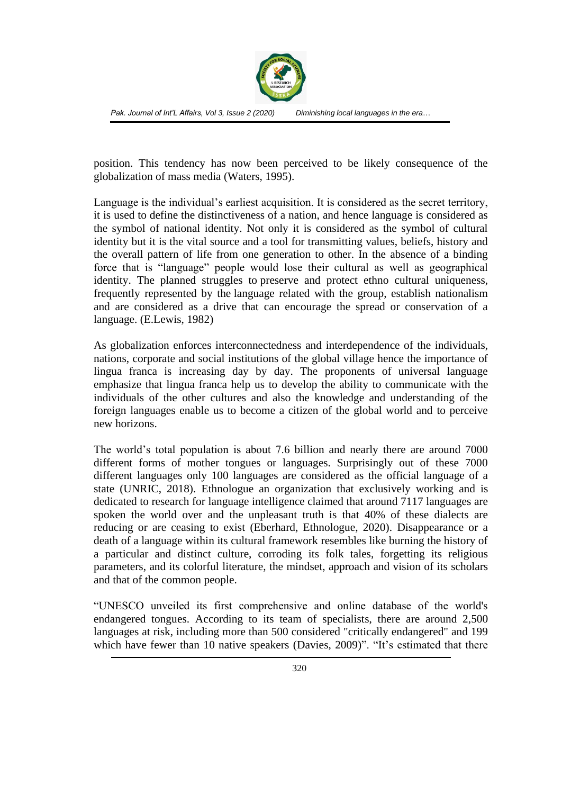

position. This tendency has now been perceived to be likely consequence of the globalization of mass media (Waters, 1995).

Language is the individual's earliest acquisition. It is considered as the secret territory, it is used to define the distinctiveness of a nation, and hence language is considered as the symbol of national identity. Not only it is considered as the symbol of cultural identity but it is the vital source and a tool for transmitting values, beliefs, history and the overall pattern of life from one generation to other. In the absence of a binding force that is "language" people would lose their cultural as well as geographical identity. The planned struggles to preserve and protect ethno cultural uniqueness, frequently represented by the language related with the group, establish nationalism and are considered as a drive that can encourage the spread or conservation of a language. (E.Lewis, 1982)

As globalization enforces interconnectedness and interdependence of the individuals, nations, corporate and social institutions of the global village hence the importance of lingua franca is increasing day by day. The proponents of universal language emphasize that lingua franca help us to develop the ability to communicate with the individuals of the other cultures and also the knowledge and understanding of the foreign languages enable us to become a citizen of the global world and to perceive new horizons.

The world's total population is about 7.6 billion and nearly there are around 7000 different forms of mother tongues or languages. Surprisingly out of these 7000 different languages only 100 languages are considered as the official language of a state (UNRIC, 2018). Ethnologue an organization that exclusively working and is dedicated to research for language intelligence claimed that around 7117 languages are spoken the world over and the unpleasant truth is that 40% of these dialects are reducing or are ceasing to exist (Eberhard, Ethnologue, 2020). Disappearance or a death of a language within its cultural framework resembles like burning the history of a particular and distinct culture, corroding its folk tales, forgetting its religious parameters, and its colorful literature, the mindset, approach and vision of its scholars and that of the common people.

"UNESCO unveiled its first comprehensive and online database of the world's endangered tongues. According to its team of specialists, there are around 2,500 languages at risk, including more than 500 considered "critically endangered" and 199 which have fewer than 10 native speakers (Davies, 2009)". "It's estimated that there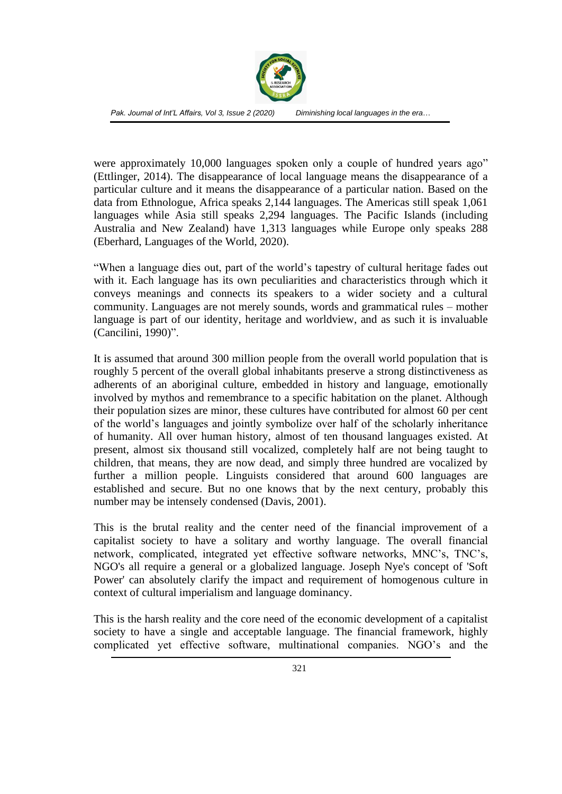

were approximately 10,000 languages spoken only a couple of hundred years ago" (Ettlinger, 2014). The disappearance of local language means the disappearance of a particular culture and it means the disappearance of a particular nation. Based on the data from Ethnologue, Africa speaks 2,144 languages. The Americas still speak 1,061 languages while Asia still speaks 2,294 languages. The Pacific Islands (including Australia and New Zealand) have 1,313 languages while Europe only speaks 288 (Eberhard, Languages of the World, 2020).

"When a language dies out, part of the world's tapestry of cultural heritage fades out with it. Each language has its own peculiarities and characteristics through which it conveys meanings and connects its speakers to a wider society and a cultural community. Languages are not merely sounds, words and grammatical rules – mother language is part of our identity, heritage and worldview, and as such it is invaluable (Cancilini, 1990)".

It is assumed that around 300 million people from the overall world population that is roughly 5 percent of the overall global inhabitants preserve a strong distinctiveness as adherents of an aboriginal culture, embedded in history and language, emotionally involved by mythos and remembrance to a specific habitation on the planet. Although their population sizes are minor, these cultures have contributed for almost 60 per cent of the world's languages and jointly symbolize over half of the scholarly inheritance of humanity. All over human history, almost of ten thousand languages existed. At present, almost six thousand still vocalized, completely half are not being taught to children, that means, they are now dead, and simply three hundred are vocalized by further a million people. Linguists considered that around 600 languages are established and secure. But no one knows that by the next century, probably this number may be intensely condensed (Davis, 2001).

This is the brutal reality and the center need of the financial improvement of a capitalist society to have a solitary and worthy language. The overall financial network, complicated, integrated yet effective software networks, MNC's, TNC's, NGO's all require a general or a globalized language. Joseph Nye's concept of 'Soft Power' can absolutely clarify the impact and requirement of homogenous culture in context of cultural imperialism and language dominancy.

This is the harsh reality and the core need of the economic development of a capitalist society to have a single and acceptable language. The financial framework, highly complicated yet effective software, multinational companies. NGO's and the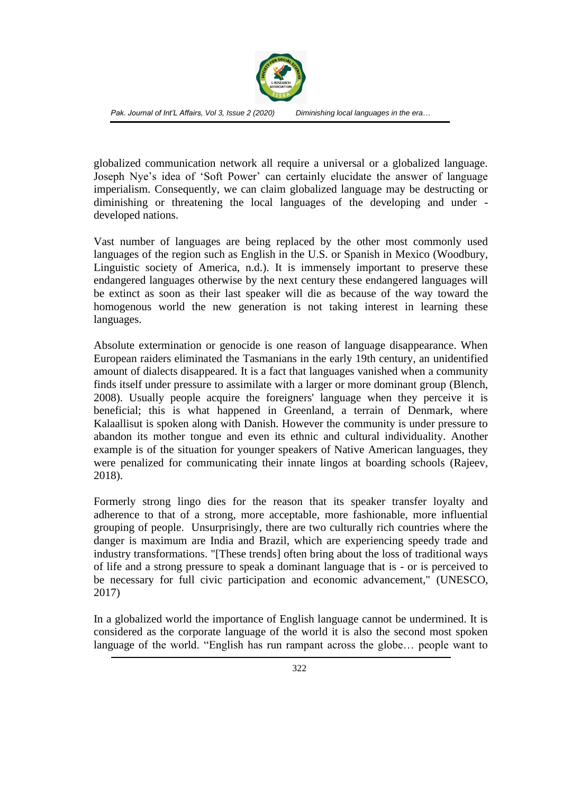

globalized communication network all require a universal or a globalized language. Joseph Nye's idea of 'Soft Power' can certainly elucidate the answer of language imperialism. Consequently, we can claim globalized language may be destructing or diminishing or threatening the local languages of the developing and under developed nations.

Vast number of languages are being replaced by the other most commonly used languages of the region such as English in the U.S. or Spanish in Mexico (Woodbury, Linguistic society of America, n.d.). It is immensely important to preserve these endangered languages otherwise by the next century these endangered languages will be extinct as soon as their last speaker will die as because of the way toward the homogenous world the new generation is not taking interest in learning these languages.

Absolute extermination or genocide is one reason of language disappearance. When European raiders eliminated the Tasmanians in the early 19th century, an unidentified amount of dialects disappeared. It is a fact that languages vanished when a community finds itself under pressure to assimilate with a larger or more dominant group (Blench, 2008). Usually people acquire the foreigners' language when they perceive it is beneficial; this is what happened in Greenland, a terrain of Denmark, where Kalaallisut is spoken along with Danish. However the community is under pressure to abandon its mother tongue and even its ethnic and cultural individuality. Another example is of the situation for younger speakers of Native American languages, they were penalized for communicating their innate lingos at boarding schools (Rajeev, 2018).

Formerly strong lingo dies for the reason that its speaker transfer loyalty and adherence to that of a strong, more acceptable, more fashionable, more influential grouping of people. Unsurprisingly, there are two culturally rich countries where the danger is maximum are India and Brazil, which are experiencing speedy trade and industry transformations. "[These trends] often bring about the loss of traditional ways of life and a strong pressure to speak a dominant language that is - or is perceived to be necessary for full civic participation and economic advancement," (UNESCO, 2017)

In a globalized world the importance of English language cannot be undermined. It is considered as the corporate language of the world it is also the second most spoken language of the world. "English has run rampant across the globe… people want to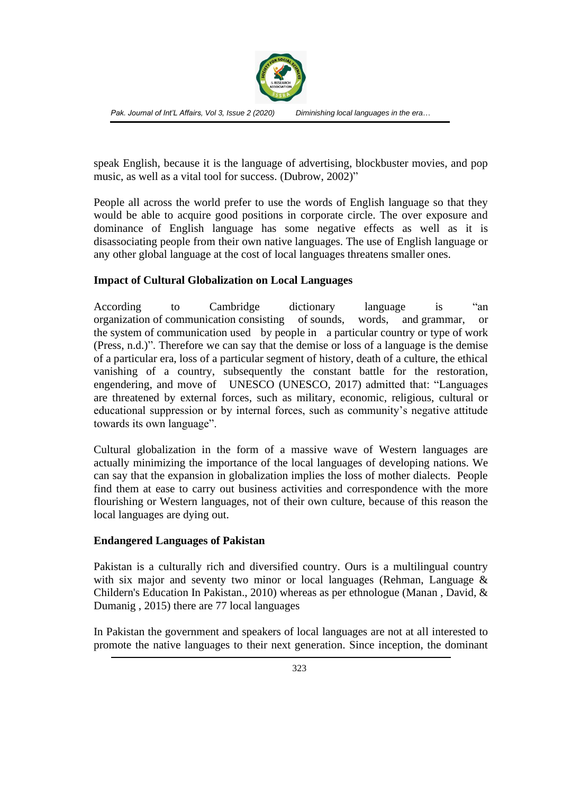

speak English, because it is the language of advertising, blockbuster movies, and pop music, as well as a vital tool for success. (Dubrow, 2002)"

People all across the world prefer to use the words of English language so that they would be able to acquire good positions in corporate circle. The over exposure and dominance of English language has some negative effects as well as it is disassociating people from their own native languages. The use of English language or any other global language at the cost of local languages threatens smaller ones.

### **Impact of Cultural Globalization on Local Languages**

According to Cambridge dictionary language is "an organization of [communication](https://dictionary.cambridge.org/dictionary/english/communication) consisting of [sounds,](https://dictionary.cambridge.org/dictionary/english/sound) words, and [grammar,](https://dictionary.cambridge.org/dictionary/english/grammar) or the [system](https://dictionary.cambridge.org/dictionary/english/system) of [communication](https://dictionary.cambridge.org/dictionary/english/communication) used by [people](https://dictionary.cambridge.org/dictionary/english/people) in a [particular](https://dictionary.cambridge.org/dictionary/english/particular) [country](https://dictionary.cambridge.org/dictionary/english/country) or [type](https://dictionary.cambridge.org/dictionary/english/type) of [work](https://dictionary.cambridge.org/dictionary/english/work) (Press, n.d.)". Therefore we can say that the demise or loss of a language is the demise of a particular era, loss of a particular segment of history, death of a culture, the ethical vanishing of a country, subsequently the constant battle for the restoration, engendering, and move of UNESCO (UNESCO, 2017) admitted that: "Languages are threatened by external forces, such as military, economic, religious, cultural or educational suppression or by internal forces, such as community's negative attitude towards its own language".

Cultural globalization in the form of a massive wave of Western languages are actually minimizing the importance of the local languages of developing nations. We can say that the expansion in globalization implies the loss of mother dialects. People find them at ease to carry out business activities and correspondence with the more flourishing or Western languages, not of their own culture, because of this reason the local languages are dying out.

### **Endangered Languages of Pakistan**

Pakistan is a culturally rich and diversified country. Ours is a multilingual country with six major and seventy two minor or local languages (Rehman, Language & Childern's Education In Pakistan., 2010) whereas as per ethnologue (Manan , David, & Dumanig , 2015) there are 77 local languages

In Pakistan the government and speakers of local languages are not at all interested to promote the native languages to their next generation. Since inception, the dominant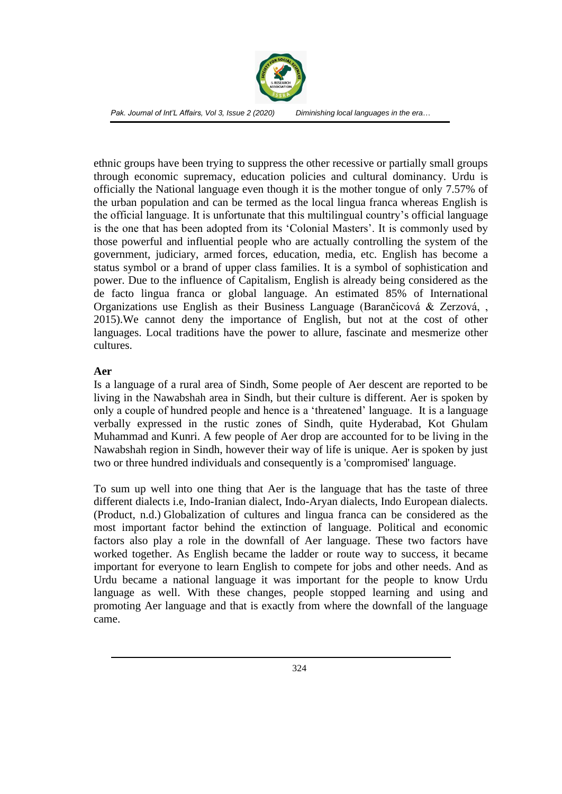

ethnic groups have been trying to suppress the other recessive or partially small groups through economic supremacy, education policies and cultural dominancy. Urdu is officially the National language even though it is the mother tongue of only 7.57% of the urban population and can be termed as the local lingua franca whereas English is the official language. It is unfortunate that this multilingual country's official language is the one that has been adopted from its 'Colonial Masters'. It is commonly used by those powerful and influential people who are actually controlling the system of the government, judiciary, armed forces, education, media, etc. English has become a status symbol or a brand of upper class families. It is a symbol of sophistication and power. Due to the influence of Capitalism, English is already being considered as the de facto lingua franca or global language. An estimated 85% of International Organizations use English as their Business Language (Barančicová & Zerzová, , 2015).We cannot deny the importance of English, but not at the cost of other languages. Local traditions have the power to allure, fascinate and mesmerize other cultures.

#### **Aer**

Is a language of a rural area of Sindh, Some people of Aer descent are reported to be living in the Nawabshah area in Sindh, but their culture is different. Aer is spoken by only a couple of hundred people and hence is a 'threatened' language. It is a language verbally expressed in the rustic zones of Sindh, quite Hyderabad, Kot Ghulam Muhammad and Kunri. A few people of Aer drop are accounted for to be living in the Nawabshah region in Sindh, however their way of life is unique. Aer is spoken by just two or three hundred individuals and consequently is a 'compromised' language.

To sum up well into one thing that Aer is the language that has the taste of three different dialects i.e, Indo-Iranian dialect, Indo-Aryan dialects, Indo European dialects. (Product, n.d.) Globalization of cultures and lingua franca can be considered as the most important factor behind the extinction of language. Political and economic factors also play a role in the downfall of Aer language. These two factors have worked together. As English became the ladder or route way to success, it became important for everyone to learn English to compete for jobs and other needs. And as Urdu became a national language it was important for the people to know Urdu language as well. With these changes, people stopped learning and using and promoting Aer language and that is exactly from where the downfall of the language came.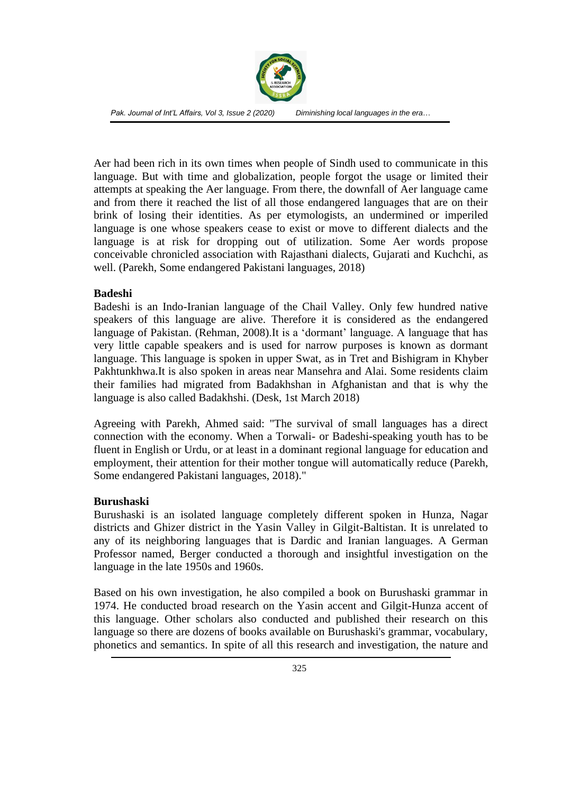

Aer had been rich in its own times when people of Sindh used to communicate in this language. But with time and globalization, people forgot the usage or limited their attempts at speaking the Aer language. From there, the downfall of Aer language came and from there it reached the list of all those endangered languages that are on their brink of losing their identities. As per etymologists, an undermined or imperiled language is one whose speakers cease to exist or move to different dialects and the language is at risk for dropping out of utilization. Some Aer words propose conceivable chronicled association with Rajasthani dialects, Gujarati and Kuchchi, as well. (Parekh, Some endangered Pakistani languages, 2018)

#### **Badeshi**

Badeshi is an Indo-Iranian language of the Chail Valley. Only few hundred native speakers of this language are alive. Therefore it is considered as the endangered language of Pakistan. (Rehman, 2008).It is a 'dormant' language. A language that has very little capable speakers and is used for narrow purposes is known as dormant language. This language is spoken in upper Swat, as in Tret and Bishigram in Khyber Pakhtunkhwa.It is also spoken in areas near Mansehra and Alai. Some residents claim their families had migrated from Badakhshan in Afghanistan and that is why the language is also called Badakhshi. (Desk, 1st March 2018)

Agreeing with Parekh, Ahmed said: "The survival of small languages has a direct connection with the economy. When a Torwali- or Badeshi-speaking youth has to be fluent in English or Urdu, or at least in a dominant regional language for education and employment, their attention for their mother tongue will automatically reduce (Parekh, Some endangered Pakistani languages, 2018)."

### **Burushaski**

Burushaski is an isolated language completely different spoken in Hunza, Nagar districts and Ghizer district in the Yasin Valley in Gilgit-Baltistan. It is unrelated to any of its neighboring languages that is Dardic and Iranian languages. A German Professor named, Berger conducted a thorough and insightful investigation on the language in the late 1950s and 1960s.

Based on his own investigation, he also compiled a book on Burushaski grammar in 1974. He conducted broad research on the Yasin accent and Gilgit-Hunza accent of this language. Other scholars also conducted and published their research on this language so there are dozens of books available on Burushaski's grammar, vocabulary, phonetics and semantics. In spite of all this research and investigation, the nature and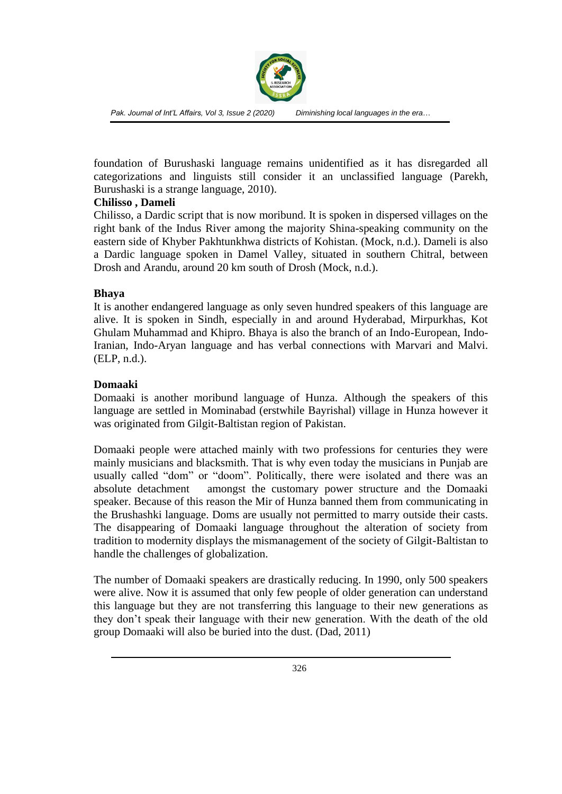

foundation of Burushaski language remains unidentified as it has disregarded all categorizations and linguists still consider it an unclassified language (Parekh, Burushaski is a strange language, 2010).

#### **Chilisso , Dameli**

Chilisso, a Dardic script that is now moribund. It is spoken in dispersed villages on the right bank of the Indus River among the majority Shina-speaking community on the eastern side of Khyber Pakhtunkhwa districts of Kohistan. (Mock, n.d.). Dameli is also a Dardic language spoken in Damel Valley, situated in southern Chitral, between Drosh and Arandu, around 20 km south of Drosh (Mock, n.d.).

#### **Bhaya**

It is another endangered language as only seven hundred speakers of this language are alive. It is spoken in Sindh, especially in and around Hyderabad, Mirpurkhas, Kot Ghulam Muhammad and Khipro. Bhaya is also the branch of an Indo-European, Indo-Iranian, Indo-Aryan language and has verbal connections with Marvari and Malvi. (ELP, n.d.).

#### **Domaaki**

Domaaki is another moribund language of Hunza. Although the speakers of this language are settled in Mominabad (erstwhile Bayrishal) village in Hunza however it was originated from Gilgit-Baltistan region of Pakistan.

Domaaki people were attached mainly with two professions for centuries they were mainly musicians and blacksmith. That is why even today the musicians in Punjab are usually called "dom" or "doom". Politically, there were isolated and there was an absolute detachment amongst the customary power structure and the Domaaki speaker. Because of this reason the Mir of Hunza banned them from communicating in the Brushashki language. Doms are usually not permitted to marry outside their casts. The disappearing of Domaaki language throughout the alteration of society from tradition to modernity displays the mismanagement of the society of Gilgit-Baltistan to handle the challenges of globalization.

The number of Domaaki speakers are drastically reducing. In 1990, only 500 speakers were alive. Now it is assumed that only few people of older generation can understand this language but they are not transferring this language to their new generations as they don't speak their language with their new generation. With the death of the old group Domaaki will also be buried into the dust. (Dad, 2011)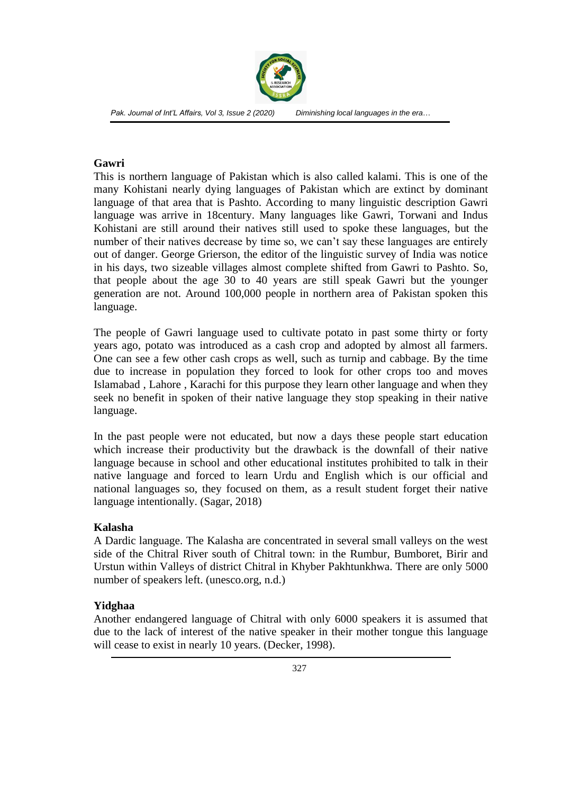

#### **Gawri**

This is northern language of Pakistan which is also called kalami. This is one of the many Kohistani nearly dying languages of Pakistan which are extinct by dominant language of that area that is Pashto. According to many linguistic description Gawri language was arrive in 18century. Many languages like Gawri, Torwani and Indus Kohistani are still around their natives still used to spoke these languages, but the number of their natives decrease by time so, we can't say these languages are entirely out of danger. George Grierson, the editor of the linguistic survey of India was notice in his days, two sizeable villages almost complete shifted from Gawri to Pashto. So, that people about the age 30 to 40 years are still speak Gawri but the younger generation are not. Around 100,000 people in northern area of Pakistan spoken this language.

The people of Gawri language used to cultivate potato in past some thirty or forty years ago, potato was introduced as a cash crop and adopted by almost all farmers. One can see a few other cash crops as well, such as turnip and cabbage. By the time due to increase in population they forced to look for other crops too and moves Islamabad , Lahore , Karachi for this purpose they learn other language and when they seek no benefit in spoken of their native language they stop speaking in their native language.

In the past people were not educated, but now a days these people start education which increase their productivity but the drawback is the downfall of their native language because in school and other educational institutes prohibited to talk in their native language and forced to learn Urdu and English which is our official and national languages so, they focused on them, as a result student forget their native language intentionally. (Sagar, 2018)

### **Kalasha**

A Dardic language. The Kalasha are concentrated in several small valleys on the west side of the Chitral River south of Chitral town: in the Rumbur, Bumboret, Birir and Urstun within Valleys of district Chitral in Khyber Pakhtunkhwa. There are only 5000 number of speakers left. (unesco.org, n.d.)

### **Yidghaa**

Another endangered language of Chitral with only 6000 speakers it is assumed that due to the lack of interest of the native speaker in their mother tongue this language will cease to exist in nearly 10 years. (Decker, 1998).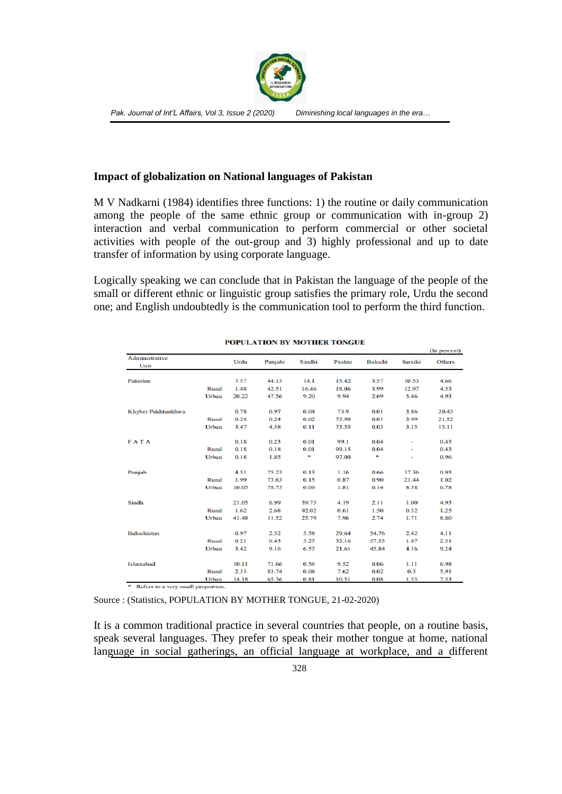

#### **Impact of globalization on National languages of Pakistan**

M V Nadkarni (1984) identifies three functions: 1) the routine or daily communication among the people of the same ethnic group or communication with in-group 2) interaction and verbal communication to perform commercial or other societal activities with people of the out-group and 3) highly professional and up to date transfer of information by using corporate language.

Logically speaking we can conclude that in Pakistan the language of the people of the small or different ethnic or linguistic group satisfies the primary role, Urdu the second one; and English undoubtedly is the communication tool to perform the third function.

| Administrative<br>Unit |       | Urdu  | Punjabi | Sindhi | Pushto | Balochi | Saraiki | (in percent)<br>Others |
|------------------------|-------|-------|---------|--------|--------|---------|---------|------------------------|
| Pakistan               |       | 7.57  | 44.15   | 14.1   | 15.42  | 3.57    | 10.53   | 4.66                   |
|                        | Rural | 1.48  | 42.51   | 16.46  | 18.06  | 3.99    | 12.97   | 4.53                   |
|                        | Urban | 20.22 | 47.56   | 9.20   | 9.94   | 2.69    | 5.46    | 4.93                   |
| Khyber Pakhtunkhwa     |       | 0.78  | 0.97    | 0.04   | 73.9   | 0.01    | 3.86    | 20.43                  |
|                        | Rural | 0.24  | 0.24    | 0.02   | 73.98  | 0.01    | 3.99    | 21.52                  |
|                        | Urban | 3.47  | 4.58    | 0.11   | 73.55  | 0.03    | 3.15    | 15.11                  |
| <b>FATA</b>            |       | 0.18  | 0.23    | 0.01   | 99.1   | 0.04    | ٠       | 0.45                   |
|                        | Rural | 0.18  | 0.18    | 0.01   | 99.15  | 0.04    | ٠       | 0.43                   |
|                        | Urban | 0.18  | 1.85    | ٠      | 97.00  | ٠       |         | 0.96                   |
| Punjab                 |       | 4.51  | 75.23   | 0.13   | 1.16   | 0.66    | 17.36   | 0.95                   |
|                        | Rural | 1.99  | 73.63   | 0.15   | 0.87   | 0.90    | 21.44   | 1.02                   |
|                        | Urban | 10.05 | 78.75   | 0.09   | 1.81   | 0.14    | 8.38    | 0.78                   |
| Sindh                  |       | 21.05 | 6.99    | 59.73  | 4.19   | 2.11    | 1.00    | 4.93                   |
|                        | Rural | 1.62  | 2.68    | 92.02  | 0.61   | 1.50    | 0.32    | 1.25                   |
|                        | Urban | 41.48 | 11.52   | 25.79  | 7.96   | 2.74    | 1.71    | 8.80                   |
| <b>Balochistan</b>     |       | 0.97  | 2.52    | 5.58   | 29.64  | 54.76   | 2.42    | 4.11                   |
|                        | Rural | 0.21  | 0.43    | 5.27   | 32.16  | 57.55   | 1.87    | 2.51                   |
|                        | Urban | 3.42  | 9.16    | 6.57   | 21.61  | 45.84   | 4.16    | 9.24                   |
| Islamabad              |       | 10.11 | 71.66   | 0.56   | 9.52   | 0.06    | 1.11    | 6.98                   |
|                        | Rural | 2.33  | 83.74   | 0.08   | 7.62   | 0.02    | 0.3     | 5.91                   |
|                        | Urban | 14.18 | 65.36   | 0.81   | 10.51  | 0.08    | 1.53    | 7.53                   |

#### POPULATION BY MOTHER TONGUE

 $\sigma_{\rm{max}}$  and  $\sigma_{\rm{max}}$ 

 $^\mathrm{a}$  -Refers to a very small proportion.

Source : (Statistics, POPULATION BY MOTHER TONGUE, 21-02-2020)

It is a common traditional practice in several countries that people, on a routine basis, speak several languages. They prefer to speak their mother tongue at home, national language in social gatherings, an official language at workplace, and a different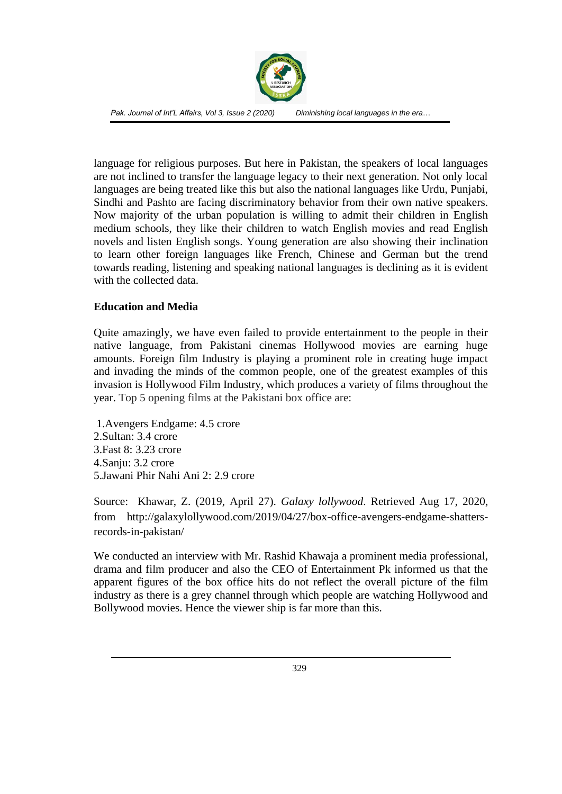

language for religious purposes. But here in Pakistan, the speakers of local languages are not inclined to transfer the language legacy to their next generation. Not only local languages are being treated like this but also the national languages like Urdu, Punjabi, Sindhi and Pashto are facing discriminatory behavior from their own native speakers. Now majority of the urban population is willing to admit their children in English medium schools, they like their children to watch English movies and read English novels and listen English songs. Young generation are also showing their inclination to learn other foreign languages like French, Chinese and German but the trend towards reading, listening and speaking national languages is declining as it is evident with the collected data.

#### **Education and Media**

Quite amazingly, we have even failed to provide entertainment to the people in their native language, from Pakistani cinemas Hollywood movies are earning huge amounts. Foreign film Industry is playing a prominent role in creating huge impact and invading the minds of the common people, one of the greatest examples of this invasion is Hollywood Film Industry, which produces a variety of films throughout the year. Top 5 opening films at the Pakistani box office are:

1.Avengers Endgame: 4.5 crore 2.Sultan: 3.4 crore 3.Fast 8: 3.23 crore 4.Sanju: 3.2 crore 5.Jawani Phir Nahi Ani 2: 2.9 crore

Source: Khawar, Z. (2019, April 27). *Galaxy lollywood*. Retrieved Aug 17, 2020, from http://galaxylollywood.com/2019/04/27/box-office-avengers-endgame-shattersrecords-in-pakistan/

We conducted an interview with Mr. Rashid Khawaja a prominent media professional, drama and film producer and also the CEO of Entertainment Pk informed us that the apparent figures of the box office hits do not reflect the overall picture of the film industry as there is a grey channel through which people are watching Hollywood and Bollywood movies. Hence the viewer ship is far more than this.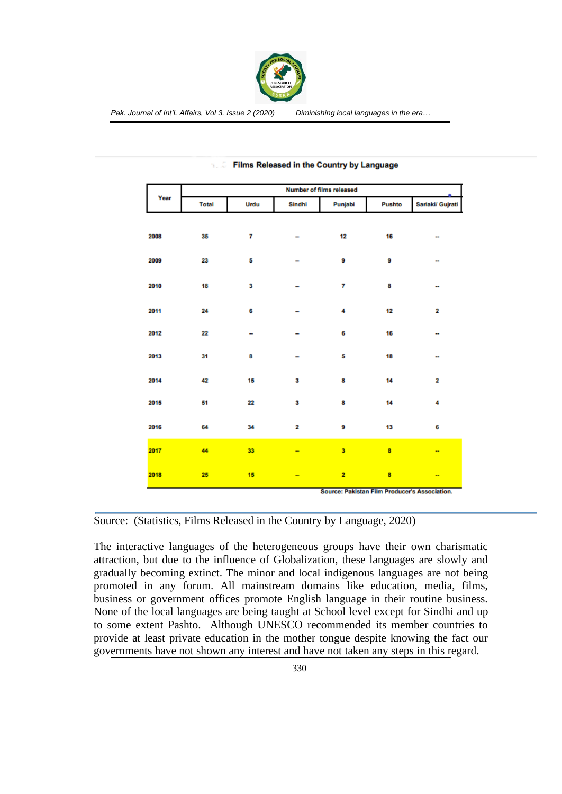

| Year | Number of films released                      |      |                          |                |        |                          |  |  |
|------|-----------------------------------------------|------|--------------------------|----------------|--------|--------------------------|--|--|
|      | <b>Total</b>                                  | Urdu | Sindhi                   | Punjabi        | Pushto | Sariaki/ Gujrati         |  |  |
|      |                                               |      |                          |                |        |                          |  |  |
| 2008 | 35                                            | 7    |                          | 12             | 16     | --                       |  |  |
| 2009 | 23                                            | 5    |                          | 9              | 9      | --                       |  |  |
|      |                                               |      |                          |                |        |                          |  |  |
| 2010 | 18                                            | 3    |                          | 7              | 8      | ÷                        |  |  |
| 2011 | 24                                            | 6    |                          | 4              | 12     | 2                        |  |  |
|      |                                               |      |                          |                |        |                          |  |  |
| 2012 | 22                                            | Ξ.   |                          | 6              | 16     | $\ddot{\phantom{a}}$     |  |  |
| 2013 | 31                                            | 8    |                          | 5              | 18     | ÷                        |  |  |
|      |                                               |      |                          |                |        |                          |  |  |
| 2014 | 42                                            | 15   | 3                        | 8              | 14     | 2                        |  |  |
| 2015 | 51                                            | 22   | 3                        | 8              | 14     | 4                        |  |  |
| 2016 | 64                                            | 34   | $\overline{\mathbf{2}}$  | 9              | 13     | 6                        |  |  |
|      |                                               |      |                          |                |        |                          |  |  |
| 2017 | 44                                            | 33   | -                        | 3              | 8      | $\overline{\phantom{a}}$ |  |  |
| 2018 | 25                                            | 15   | $\overline{\phantom{a}}$ | $\overline{2}$ | 8      | --                       |  |  |
|      | Source: Pakistan Film Producer's Association. |      |                          |                |        |                          |  |  |

#### Films Released in the Country by Language 76.00

Source: (Statistics, Films Released in the Country by Language, 2020)

The interactive languages of the heterogeneous groups have their own charismatic attraction, but due to the influence of Globalization, these languages are slowly and gradually becoming extinct. The minor and local indigenous languages are not being promoted in any forum. All mainstream domains like education, media, films, business or government offices promote English language in their routine business. None of the local languages are being taught at School level except for Sindhi and up to some extent Pashto. Although UNESCO recommended its member countries to provide at least private education in the mother tongue despite knowing the fact our governments have not shown any interest and have not taken any steps in this regard.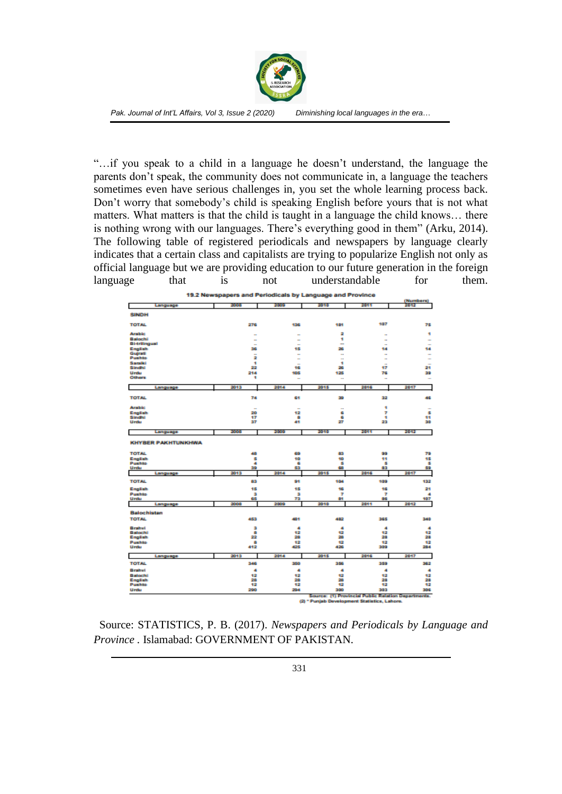

"…if you speak to a child in a language he doesn't understand, the language the parents don't speak, the community does not communicate in, a language the teachers sometimes even have serious challenges in, you set the whole learning process back. Don't worry that somebody's child is speaking English before yours that is not what matters. What matters is that the child is taught in a language the child knows… there is nothing wrong with our languages. There's everything good in them" (Arku, 2014). The following table of registered periodicals and newspapers by language clearly indicates that a certain class and capitalists are trying to popularize English not only as official language but we are providing education to our future generation in the foreign language that is not understandable for them.

| 19.2 Newspapers and Periodicals by Language and Province<br>(Numbers) |            |                                |                                              |                                                     |                                |  |  |  |
|-----------------------------------------------------------------------|------------|--------------------------------|----------------------------------------------|-----------------------------------------------------|--------------------------------|--|--|--|
| Language                                                              | 2008       | 2009                           | 2010                                         | 2011                                                | 2012                           |  |  |  |
|                                                                       |            |                                |                                              |                                                     |                                |  |  |  |
| <b>SINDH</b>                                                          |            |                                |                                              |                                                     |                                |  |  |  |
| <b>TOTAL</b>                                                          | 276        | 136                            | 181                                          | 107                                                 | 75                             |  |  |  |
|                                                                       |            |                                |                                              |                                                     |                                |  |  |  |
| <b>Arabic</b>                                                         |            | -                              | 2                                            |                                                     | ٠                              |  |  |  |
| Ballochi<br>Bi-trilingual                                             |            | ÷                              | ۰<br>$\overline{\phantom{a}}$                | -                                                   | $\overline{\phantom{a}}$       |  |  |  |
| English                                                               | -<br>36    | $\overline{\phantom{a}}$<br>15 | 26                                           | 14                                                  | $\overline{\phantom{a}}$<br>14 |  |  |  |
| Guirati                                                               | ۰          | $\overline{\phantom{a}}$       | $\ddot{\phantom{1}}$                         | $\overline{\phantom{a}}$                            | $\sim$                         |  |  |  |
| <b>Pushto</b>                                                         | 2          | ÷                              |                                              | $\overline{\phantom{a}}$                            | $\sim$                         |  |  |  |
| <b>Saraiki</b><br>Sindhi                                              | ۰<br>22    | 16                             | ٠<br>26                                      | 47                                                  | 21                             |  |  |  |
| Urdu                                                                  | 214        | 105                            | 125                                          | 76                                                  | 39                             |  |  |  |
| <b>Others</b>                                                         | ۰          | $\overline{\phantom{a}}$       | $\sim$                                       | $\sim$                                              | $\overline{\phantom{a}}$       |  |  |  |
|                                                                       |            |                                |                                              |                                                     |                                |  |  |  |
| Language                                                              | 2013       | 2014                           | 2015                                         | 2016                                                | 2017                           |  |  |  |
| <b>TOTAL</b>                                                          | 74         | 61                             | 39                                           | 32                                                  | 46                             |  |  |  |
|                                                                       |            |                                |                                              |                                                     |                                |  |  |  |
| <b>Arabic</b>                                                         |            |                                | $\sim$                                       | ٠                                                   |                                |  |  |  |
| English                                                               | 20         | 12                             | G                                            | 7                                                   | s                              |  |  |  |
| Sindhi<br>Urdu                                                        | 17<br>37   | ٠<br>41                        | G<br>27                                      | ٠<br>23                                             | 41<br>30                       |  |  |  |
|                                                                       |            |                                |                                              |                                                     |                                |  |  |  |
| Language                                                              | 2008       | 2009                           | 3010                                         | 2011                                                | 2842                           |  |  |  |
| <b>KHYBER PAKHTUNKHWA</b>                                             |            |                                |                                              |                                                     |                                |  |  |  |
| <b>TOTAL</b>                                                          | 48         | 69                             | 63                                           | 99                                                  | 79                             |  |  |  |
| English                                                               | ś          | 10                             | 10                                           | 44                                                  | ٩S                             |  |  |  |
| Pushto<br>Urdu                                                        | ٠<br>39    | G<br>53                        | s<br>66                                      | s<br>a s                                            | в<br>59                        |  |  |  |
| Language                                                              | 2013       | 2014                           | 2015                                         | 2016                                                | 2017                           |  |  |  |
|                                                                       |            |                                |                                              |                                                     |                                |  |  |  |
| <b>TOTAL</b>                                                          | 63         | 91                             | 104                                          | 109                                                 | 132                            |  |  |  |
| English                                                               | 15         | 15                             | 16                                           | 96                                                  | 21                             |  |  |  |
| <b>Pushto</b>                                                         | в          | а                              | T                                            | 7                                                   | ٠                              |  |  |  |
| Urdu<br>Language                                                      | 65<br>2006 | 73<br>2009                     | a+<br>3010                                   | 86<br>2011                                          | 107<br>2012                    |  |  |  |
|                                                                       |            |                                |                                              |                                                     |                                |  |  |  |
| <b>Balochistan</b>                                                    |            |                                |                                              |                                                     |                                |  |  |  |
| <b>TOTAL</b>                                                          | 453        | 481                            | 482                                          | 365                                                 | 340                            |  |  |  |
| Brahvi                                                                | в          | ٠                              | ۰                                            | ٠                                                   | ٠                              |  |  |  |
| Balochi                                                               | ٠          | 12                             | 悾                                            | 42                                                  | 42                             |  |  |  |
| English                                                               | 22         | 28                             | 26                                           | 20                                                  | 28                             |  |  |  |
| Pushto<br>Urdu                                                        | ٠<br>412   | 12<br>425                      | 42<br>426                                    | 42<br>309                                           | 42<br>294                      |  |  |  |
|                                                                       |            |                                |                                              |                                                     |                                |  |  |  |
| Language                                                              | 2013       | 2014                           | 2015                                         | 2016                                                | 2017                           |  |  |  |
| <b>TOTAL</b>                                                          | 346        | 350                            | 356                                          | 359                                                 | 362                            |  |  |  |
| Brahvi                                                                | ٠          | ٠                              | ٠                                            | ٠                                                   | ٠                              |  |  |  |
| Balochi                                                               | 12         | 12                             | 悾                                            | 42                                                  | 12                             |  |  |  |
| English                                                               | 28         | 28                             | 28                                           | 28                                                  | 28                             |  |  |  |
| Pushto<br>Urdu                                                        | 12<br>290  | 12<br>294                      | 42<br>300                                    | 42<br>303                                           | 42<br>306                      |  |  |  |
|                                                                       |            |                                |                                              |                                                     |                                |  |  |  |
|                                                                       |            |                                | (2) * Punjab Development Statistics, Lahore. | Source: (1) Provincial Public Relation Departments. |                                |  |  |  |
|                                                                       |            |                                |                                              |                                                     |                                |  |  |  |

 Source: STATISTICS, P. B. (2017). *Newspapers and Periodicals by Language and Province .* Islamabad: GOVERNMENT OF PAKISTAN.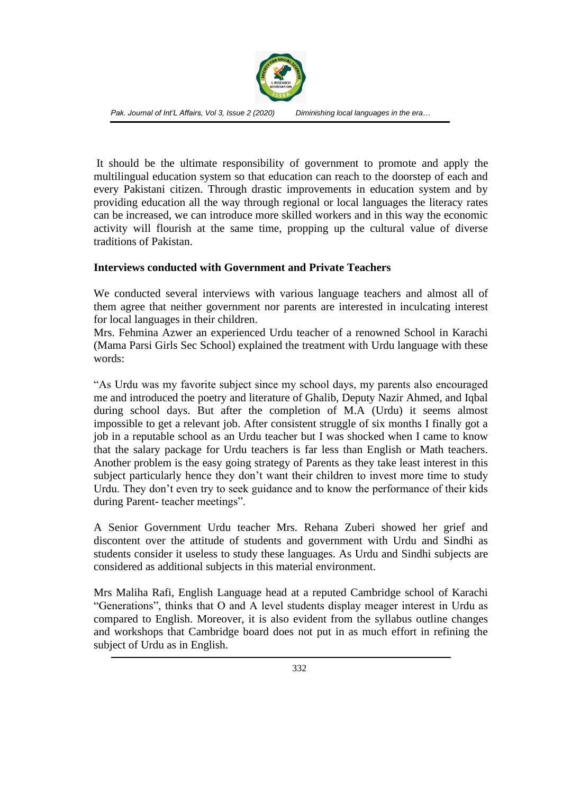

It should be the ultimate responsibility of government to promote and apply the multilingual education system so that education can reach to the doorstep of each and every Pakistani citizen. Through drastic improvements in education system and by providing education all the way through regional or local languages the literacy rates can be increased, we can introduce more skilled workers and in this way the economic activity will flourish at the same time, propping up the cultural value of diverse traditions of Pakistan.

#### **Interviews conducted with Government and Private Teachers**

We conducted several interviews with various language teachers and almost all of them agree that neither government nor parents are interested in inculcating interest for local languages in their children.

Mrs. Fehmina Azwer an experienced Urdu teacher of a renowned School in Karachi (Mama Parsi Girls Sec School) explained the treatment with Urdu language with these words:

"As Urdu was my favorite subject since my school days, my parents also encouraged me and introduced the poetry and literature of Ghalib, Deputy Nazir Ahmed, and Iqbal during school days. But after the completion of M.A (Urdu) it seems almost impossible to get a relevant job. After consistent struggle of six months I finally got a job in a reputable school as an Urdu teacher but I was shocked when I came to know that the salary package for Urdu teachers is far less than English or Math teachers. Another problem is the easy going strategy of Parents as they take least interest in this subject particularly hence they don't want their children to invest more time to study Urdu. They don't even try to seek guidance and to know the performance of their kids during Parent- teacher meetings".

A Senior Government Urdu teacher Mrs. Rehana Zuberi showed her grief and discontent over the attitude of students and government with Urdu and Sindhi as students consider it useless to study these languages. As Urdu and Sindhi subjects are considered as additional subjects in this material environment.

Mrs Maliha Rafi, English Language head at a reputed Cambridge school of Karachi "Generations", thinks that O and A level students display meager interest in Urdu as compared to English. Moreover, it is also evident from the syllabus outline changes and workshops that Cambridge board does not put in as much effort in refining the subject of Urdu as in English.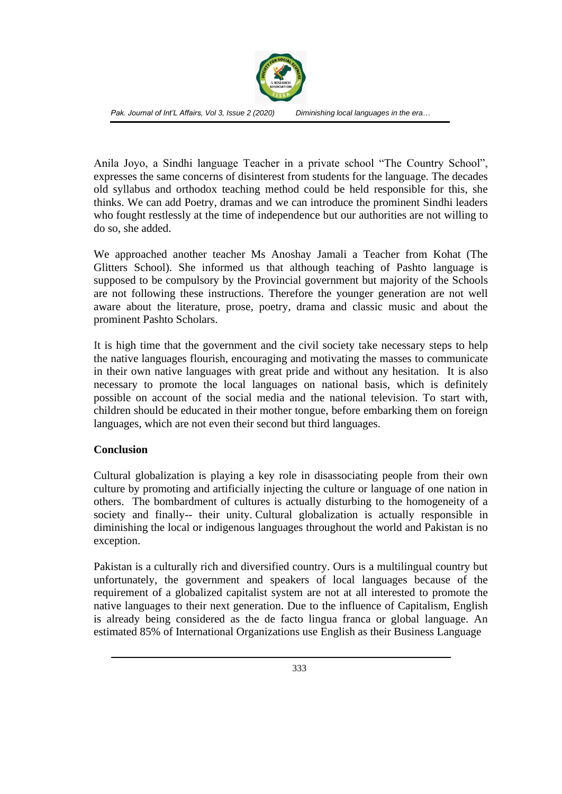

Anila Joyo, a Sindhi language Teacher in a private school "The Country School", expresses the same concerns of disinterest from students for the language. The decades old syllabus and orthodox teaching method could be held responsible for this, she thinks. We can add Poetry, dramas and we can introduce the prominent Sindhi leaders who fought restlessly at the time of independence but our authorities are not willing to do so, she added.

We approached another teacher Ms Anoshay Jamali a Teacher from Kohat (The Glitters School). She informed us that although teaching of Pashto language is supposed to be compulsory by the Provincial government but majority of the Schools are not following these instructions. Therefore the younger generation are not well aware about the literature, prose, poetry, drama and classic music and about the prominent Pashto Scholars.

It is high time that the government and the civil society take necessary steps to help the native languages flourish, encouraging and motivating the masses to communicate in their own native languages with great pride and without any hesitation. It is also necessary to promote the local languages on national basis, which is definitely possible on account of the social media and the national television. To start with, children should be educated in their mother tongue, before embarking them on foreign languages, which are not even their second but third languages.

#### **Conclusion**

Cultural globalization is playing a key role in disassociating people from their own culture by promoting and artificially injecting the culture or language of one nation in others. The bombardment of cultures is actually disturbing to the homogeneity of a society and finally-- their unity. Cultural globalization is actually responsible in diminishing the local or indigenous languages throughout the world and Pakistan is no exception.

Pakistan is a culturally rich and diversified country. Ours is a multilingual country but unfortunately, the government and speakers of local languages because of the requirement of a globalized capitalist system are not at all interested to promote the native languages to their next generation. Due to the influence of Capitalism, English is already being considered as the de facto lingua franca or global language. An estimated 85% of International Organizations use English as their Business Language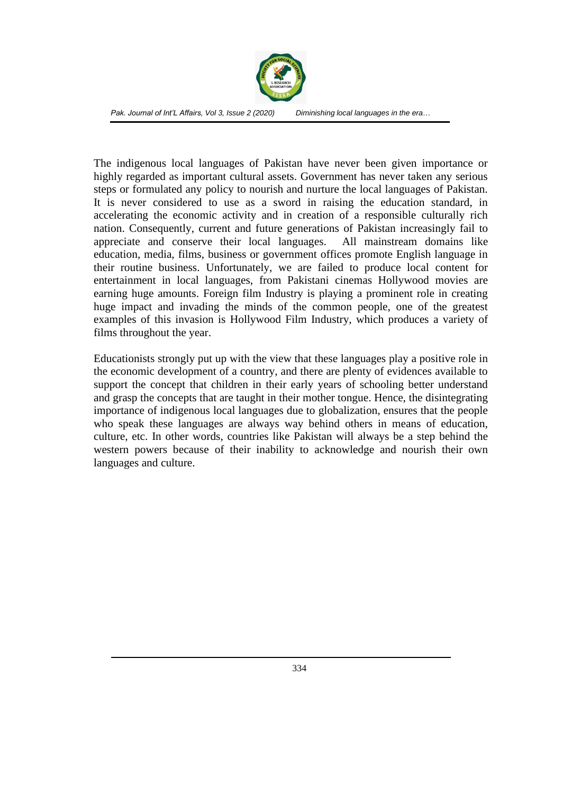

The indigenous local languages of Pakistan have never been given importance or highly regarded as important cultural assets. Government has never taken any serious steps or formulated any policy to nourish and nurture the local languages of Pakistan. It is never considered to use as a sword in raising the education standard, in accelerating the economic activity and in creation of a responsible culturally rich nation. Consequently, current and future generations of Pakistan increasingly fail to appreciate and conserve their local languages. All mainstream domains like education, media, films, business or government offices promote English language in their routine business. Unfortunately, we are failed to produce local content for entertainment in local languages, from Pakistani cinemas Hollywood movies are earning huge amounts. Foreign film Industry is playing a prominent role in creating huge impact and invading the minds of the common people, one of the greatest examples of this invasion is Hollywood Film Industry, which produces a variety of films throughout the year.

Educationists strongly put up with the view that these languages play a positive role in the economic development of a country, and there are plenty of evidences available to support the concept that children in their early years of schooling better understand and grasp the concepts that are taught in their mother tongue. Hence, the disintegrating importance of indigenous local languages due to globalization, ensures that the people who speak these languages are always way behind others in means of education, culture, etc. In other words, countries like Pakistan will always be a step behind the western powers because of their inability to acknowledge and nourish their own languages and culture.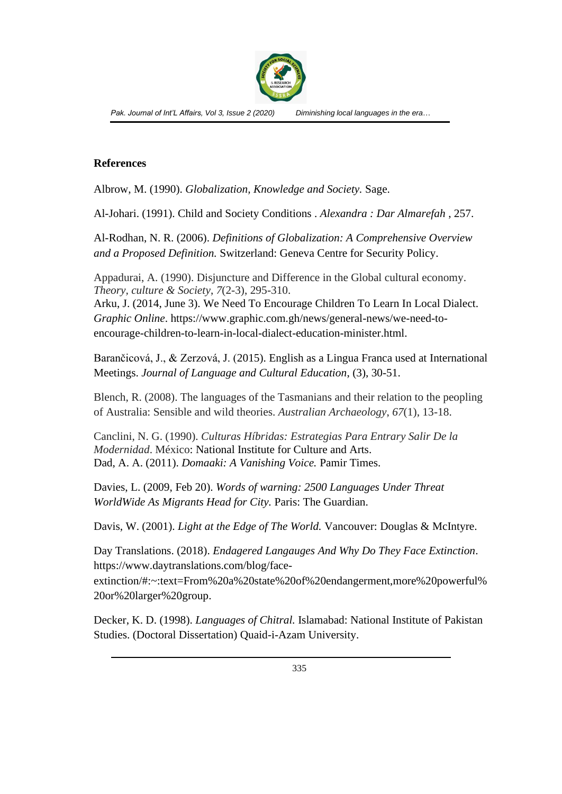

#### **References**

Albrow, M. (1990). *Globalization, Knowledge and Society.* Sage.

Al-Johari. (1991). Child and Society Conditions . *Alexandra : Dar Almarefah* , 257.

Al-Rodhan, N. R. (2006). *Definitions of Globalization: A Comprehensive Overview and a Proposed Definition.* Switzerland: Geneva Centre for Security Policy.

Appadurai, A. (1990). Disjuncture and Difference in the Global cultural economy. *Theory, culture & Society*, *7*(2-3), 295-310.

Arku, J. (2014, June 3). We Need To Encourage Children To Learn In Local Dialect. *Graphic Online*. https://www.graphic.com.gh/news/general-news/we-need-toencourage-children-to-learn-in-local-dialect-education-minister.html.

Barančicová, J., & Zerzová, J. (2015). English as a Lingua Franca used at International Meetings. *Journal of Language and Cultural Education*, (3), 30-51.

Blench, R. (2008). The languages of the Tasmanians and their relation to the peopling of Australia: Sensible and wild theories. *Australian Archaeology*, *67*(1), 13-18.

Canclini, N. G. (1990). *Culturas Híbridas: Estrategias Para Entrary Salir De la Modernidad*. México: National Institute for Culture and Arts. Dad, A. A. (2011). *Domaaki: A Vanishing Voice.* Pamir Times.

Davies, L. (2009, Feb 20). *Words of warning: 2500 Languages Under Threat WorldWide As Migrants Head for City.* Paris: The Guardian.

Davis, W. (2001). *Light at the Edge of The World.* Vancouver: Douglas & McIntyre.

Day Translations. (2018). *Endagered Langauges And Why Do They Face Extinction*. https://www.daytranslations.com/blog/face-

extinction/#:~:text=From%20a%20state%20of%20endangerment,more%20powerful% 20or%20larger%20group.

Decker, K. D. (1998). *Languages of Chitral.* Islamabad: National Institute of Pakistan Studies. (Doctoral Dissertation) Quaid-i-Azam University.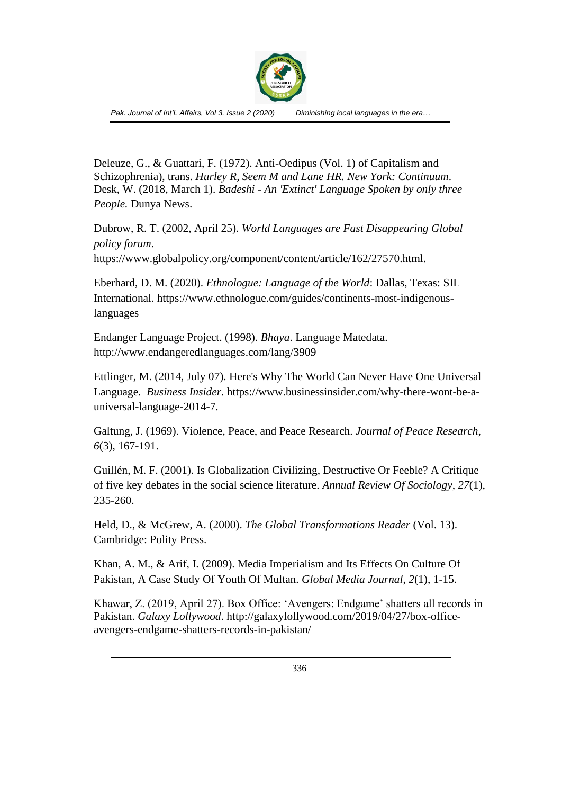

Deleuze, G., & Guattari, F. (1972). Anti-Oedipus (Vol. 1) of Capitalism and Schizophrenia), trans. *Hurley R, Seem M and Lane HR. New York: Continuum*. Desk, W. (2018, March 1). *Badeshi - An 'Extinct' Language Spoken by only three People.* Dunya News.

Dubrow, R. T. (2002, April 25). *World Languages are Fast Disappearing Global policy forum*. https://www.globalpolicy.org/component/content/article/162/27570.html.

Eberhard, D. M. (2020). *Ethnologue: Language of the World*: Dallas, Texas: SIL International. https://www.ethnologue.com/guides/continents-most-indigenouslanguages

Endanger Language Project. (1998). *Bhaya*. Language Matedata. http://www.endangeredlanguages.com/lang/3909

Ettlinger, M. (2014, July 07). Here's Why The World Can Never Have One Universal Language. *Business Insider*. https://www.businessinsider.com/why-there-wont-be-auniversal-language-2014-7.

Galtung, J. (1969). Violence, Peace, and Peace Research. *Journal of Peace Research*, *6*(3), 167-191.

Guillén, M. F. (2001). Is Globalization Civilizing, Destructive Or Feeble? A Critique of five key debates in the social science literature. *Annual Review Of Sociology*, *27*(1), 235-260.

Held, D., & McGrew, A. (2000). *The Global Transformations Reader* (Vol. 13). Cambridge: Polity Press.

Khan, A. M., & Arif, I. (2009). Media Imperialism and Its Effects On Culture Of Pakistan, A Case Study Of Youth Of Multan. *Global Media Journal*, *2*(1), 1-15.

Khawar, Z. (2019, April 27). Box Office: 'Avengers: Endgame' shatters all records in Pakistan. *Galaxy Lollywood*. http://galaxylollywood.com/2019/04/27/box-officeavengers-endgame-shatters-records-in-pakistan/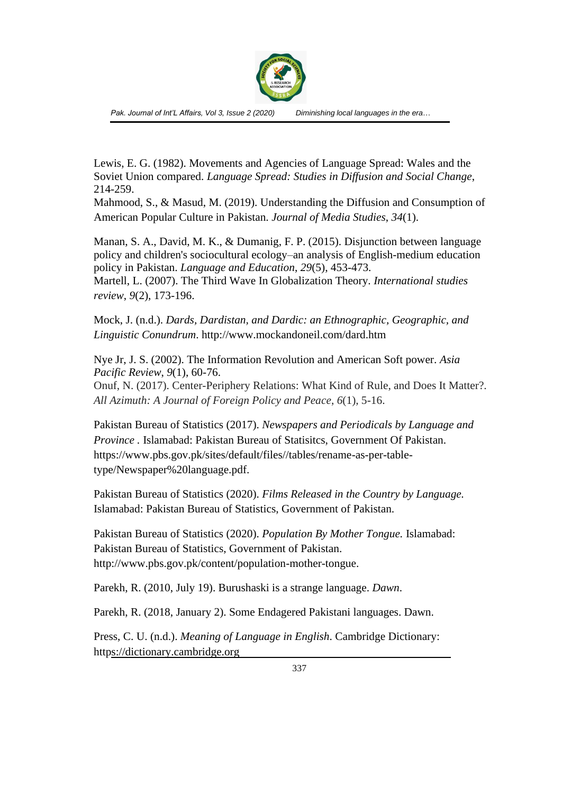

Lewis, E. G. (1982). Movements and Agencies of Language Spread: Wales and the Soviet Union compared. *Language Spread: Studies in Diffusion and Social Change*, 214-259.

Mahmood, S., & Masud, M. (2019). Understanding the Diffusion and Consumption of American Popular Culture in Pakistan. *Journal of Media Studies*, *34*(1).

Manan, S. A., David, M. K., & Dumanig, F. P. (2015). Disjunction between language policy and children's sociocultural ecology–an analysis of English-medium education policy in Pakistan. *Language and Education*, *29*(5), 453-473. Martell, L. (2007). The Third Wave In Globalization Theory. *International studies review*, *9*(2), 173-196.

Mock, J. (n.d.). *Dards, Dardistan, and Dardic: an Ethnographic, Geographic, and Linguistic Conundrum*. http://www.mockandoneil.com/dard.htm

Nye Jr, J. S. (2002). The Information Revolution and American Soft power. *Asia Pacific Review*, *9*(1), 60-76. Onuf, N. (2017). Center-Periphery Relations: What Kind of Rule, and Does It Matter?. *All Azimuth: A Journal of Foreign Policy and Peace*, *6*(1), 5-16.

Pakistan Bureau of Statistics (2017). *Newspapers and Periodicals by Language and Province .* Islamabad: Pakistan Bureau of Statisitcs, Government Of Pakistan. https://www.pbs.gov.pk/sites/default/files//tables/rename-as-per-tabletype/Newspaper%20language.pdf.

Pakistan Bureau of Statistics (2020). *Films Released in the Country by Language.* Islamabad: Pakistan Bureau of Statistics, Government of Pakistan.

Pakistan Bureau of Statistics (2020). *Population By Mother Tongue.* Islamabad: Pakistan Bureau of Statistics, Government of Pakistan. http://www.pbs.gov.pk/content/population-mother-tongue.

Parekh, R. (2010, July 19). Burushaski is a strange language. *Dawn*.

Parekh, R. (2018, January 2). Some Endagered Pakistani languages. Dawn.

Press, C. U. (n.d.). *Meaning of Language in English*. Cambridge Dictionary: https://dictionary.cambridge.org